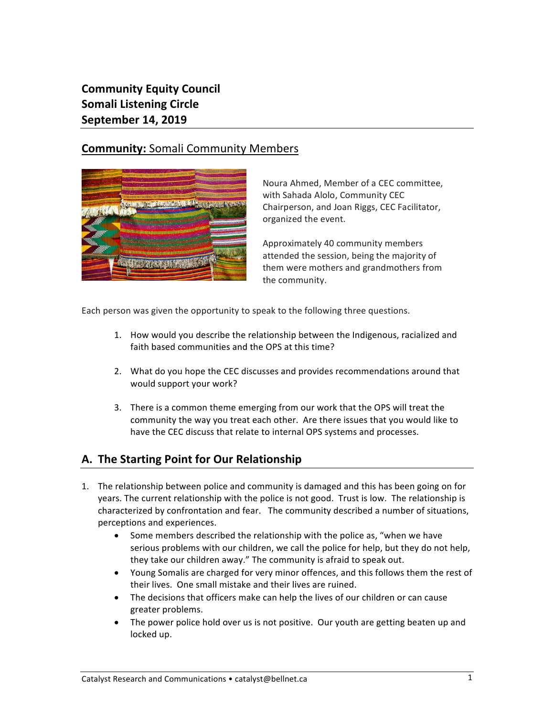**Community Equity Council Somali Listening Circle September 14, 2019** 

# **Community:** Somali Community Members



Noura Ahmed, Member of a CEC committee, with Sahada Alolo, Community CEC Chairperson, and Joan Riggs, CEC Facilitator, organized the event.

Approximately 40 community members attended the session, being the majority of them were mothers and grandmothers from the community.

Each person was given the opportunity to speak to the following three questions.

- 1. How would you describe the relationship between the Indigenous, racialized and faith hased communities and the OPS at this time?
- 2. What do you hope the CEC discusses and provides recommendations around that would support your work?
- 3. There is a common theme emerging from our work that the OPS will treat the community the way you treat each other. Are there issues that you would like to have the CEC discuss that relate to internal OPS systems and processes.

# **A. The Starting Point for Our Relationship**

- 1. The relationship between police and community is damaged and this has been going on for years. The current relationship with the police is not good. Trust is low. The relationship is characterized by confrontation and fear. The community described a number of situations, perceptions and experiences.
	- Some members described the relationship with the police as, "when we have serious problems with our children, we call the police for help, but they do not help, they take our children away." The community is afraid to speak out.
	- Young Somalis are charged for very minor offences, and this follows them the rest of their lives. One small mistake and their lives are ruined.
	- The decisions that officers make can help the lives of our children or can cause greater problems.
	- The power police hold over us is not positive. Our youth are getting beaten up and locked up.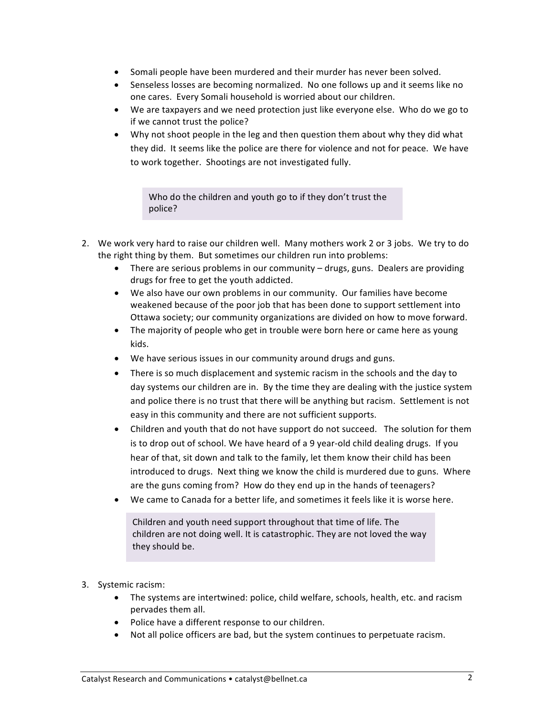- Somali people have been murdered and their murder has never been solved.
- Senseless losses are becoming normalized. No one follows up and it seems like no one cares. Every Somali household is worried about our children.
- We are taxpayers and we need protection just like everyone else. Who do we go to if we cannot trust the police?
- Why not shoot people in the leg and then question them about why they did what they did. It seems like the police are there for violence and not for peace. We have to work together. Shootings are not investigated fully.

Who do the children and youth go to if they don't trust the police?

- 2. We work very hard to raise our children well. Many mothers work 2 or 3 jobs. We try to do the right thing by them. But sometimes our children run into problems:
	- There are serious problems in our community  $-$  drugs, guns. Dealers are providing drugs for free to get the youth addicted.
	- We also have our own problems in our community. Our families have become weakened because of the poor job that has been done to support settlement into Ottawa society; our community organizations are divided on how to move forward.
	- The majority of people who get in trouble were born here or came here as young kids.
	- We have serious issues in our community around drugs and guns.
	- There is so much displacement and systemic racism in the schools and the day to day systems our children are in. By the time they are dealing with the justice system and police there is no trust that there will be anything but racism. Settlement is not easy in this community and there are not sufficient supports.
	- Children and youth that do not have support do not succeed. The solution for them is to drop out of school. We have heard of a 9 year-old child dealing drugs. If you hear of that, sit down and talk to the family, let them know their child has been introduced to drugs. Next thing we know the child is murdered due to guns. Where are the guns coming from? How do they end up in the hands of teenagers?
	- We came to Canada for a better life, and sometimes it feels like it is worse here.

Children and youth need support throughout that time of life. The children are not doing well. It is catastrophic. They are not loved the way they should be.

- 3. Systemic racism:
	- The systems are intertwined: police, child welfare, schools, health, etc. and racism pervades them all.
	- Police have a different response to our children.
	- Not all police officers are bad, but the system continues to perpetuate racism.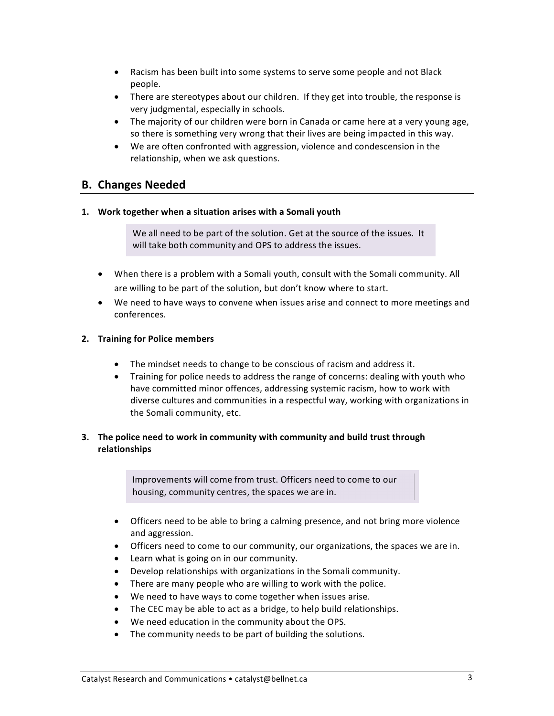- Racism has been built into some systems to serve some people and not Black people.
- There are stereotypes about our children. If they get into trouble, the response is very judgmental, especially in schools.
- The majority of our children were born in Canada or came here at a very young age, so there is something very wrong that their lives are being impacted in this way.
- We are often confronted with aggression, violence and condescension in the relationship, when we ask questions.

## **B. Changes Needed**

#### **1. Work together when a situation arises with a Somali youth**

We all need to be part of the solution. Get at the source of the issues. It will take both community and OPS to address the issues.

- When there is a problem with a Somali youth, consult with the Somali community. All are willing to be part of the solution, but don't know where to start.
- We need to have ways to convene when issues arise and connect to more meetings and conferences.

### **2. Training for Police members**

- The mindset needs to change to be conscious of racism and address it.
- Training for police needs to address the range of concerns: dealing with youth who have committed minor offences, addressing systemic racism, how to work with diverse cultures and communities in a respectful way, working with organizations in the Somali community, etc.

### **3.** The police need to work in community with community and build trust through **relationships**

Improvements will come from trust. Officers need to come to our housing, community centres, the spaces we are in.

- Officers need to be able to bring a calming presence, and not bring more violence and aggression.
- Officers need to come to our community, our organizations, the spaces we are in.
- Learn what is going on in our community.
- Develop relationships with organizations in the Somali community.
- There are many people who are willing to work with the police.
- We need to have ways to come together when issues arise.
- The CEC may be able to act as a bridge, to help build relationships.
- We need education in the community about the OPS.
- The community needs to be part of building the solutions.